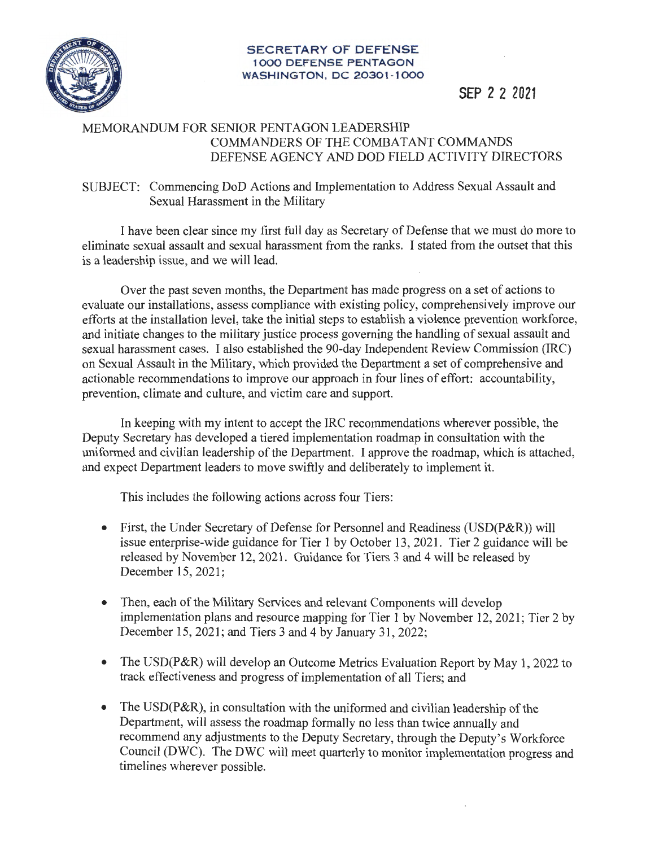

#### **SECRETARY OF DEFENSE 1000 DEFENSE PENTAGON WASHINGTON , DC 20301-1000**

# **SEP** *2* **2 2021**

### MEMORANDUM FOR SENIOR PENTAGON LEADERSHIP COMMANDERS OF THE COMBATANT COMMANDS DEFENSE AGENCY AND DOD FIELD ACTIVITY DIRECTORS

#### SUBJECT: Commencing DoD Actions and Implementation to Address Sexual Assault and Sexual Harassment in the Military

I have been clear since my first full day as Secretary of Defense that we must do more to eliminate sexual assault and sexual harassment from the ranks. I stated from the outset that this is a leadership issue, and we will lead.

Over the past seven months, the Department has made progress on a set of actions to evaluate our installations, assess compliance with existing policy, comprehensively improve our efforts at the installation level, take the initial steps to establish a violence prevention workforce, and initiate changes to the military justice process governing the handling of sexual assault and sexual harassment cases. I also established the 90-day Independent Review Commission (IRC) on Sexual Assault in the Military, which provided the Department a set of comprehensive and actionable recommendations to improve our approach in four lines of effort: accountability, prevention, climate and culture, and victim care and support.

In keeping with my intent to accept the IRC recommendations wherever possible, the Deputy Secretary has developed a tiered implementation roadmap in consultation with the uniformed and civilian leadership of the Department. I approve the roadmap, which is attached, and expect Department leaders to move swiftly and deliberately to implement it.

This includes the following actions across four Tiers:

- First, the Under Secretary of Defense for Personnel and Readiness (USD(P&R)) will issue enterprise-wide guidance for Tier 1 by October 13, 2021. Tier 2 guidance will be released by November 12, 2021. Guidance for Tiers 3 and 4 will be released by December 15, 2021;
- Then, each of the Military Services and relevant Components will develop implementation plans and resource mapping for Tier 1 by November 12, 2021; Tier 2 by December 15, 2021; and Tiers 3 and 4 by January 31, 2022;
- The USD(P&R) will develop an Outcome Metrics Evaluation Report by May 1, 2022 to track effectiveness and progress of implementation of all Tiers; and
- The USD(P&R), in consultation with the uniformed and civilian leadership of the Department, will assess the roadmap formally no less than twice annually and recommend any adjustments to the Deputy Secretary, through the Deputy's Workforce Council (DWC). The DWC will meet quarterly to monitor implementation progress and timelines wherever possible.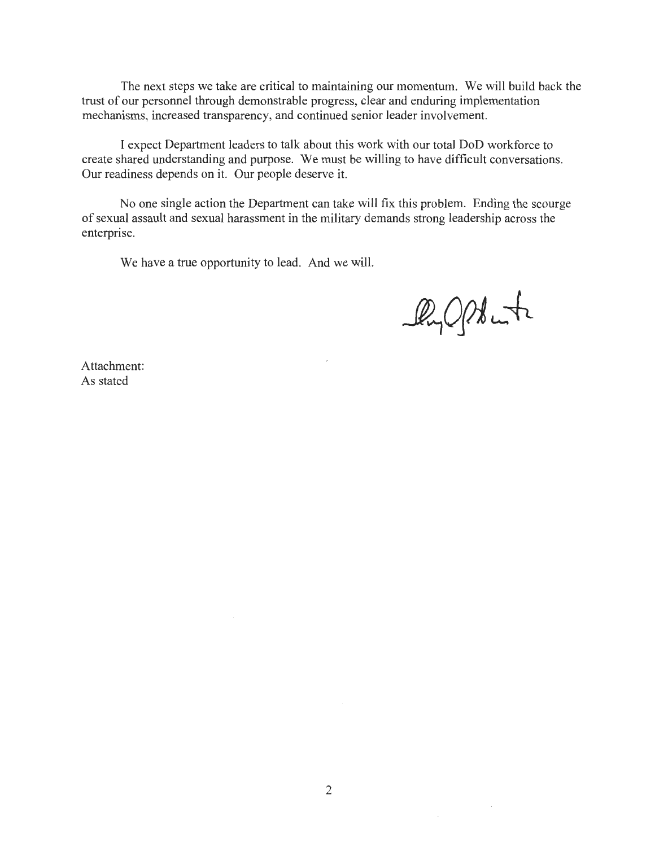The next steps we take are critical to maintaining our momentum. We will build back the trust of our personnel through demonstrable progress, clear and enduring implementation mechanisms, increased transparency, and continued senior leader involvement.

I expect Department leaders to talk about this work with our total DoD workforce to create shared understanding and purpose. We must be willing to have difficult conversations. Our readiness depends on it. Our people deserve it.

No one single action the Department can take will fix this problem. Ending the scourge of sexual assault and sexual harassment in the military demands strong leadership across the enterprise.

We have a true opportunity to lead. And we will.

Py Opt into

Attachment: As stated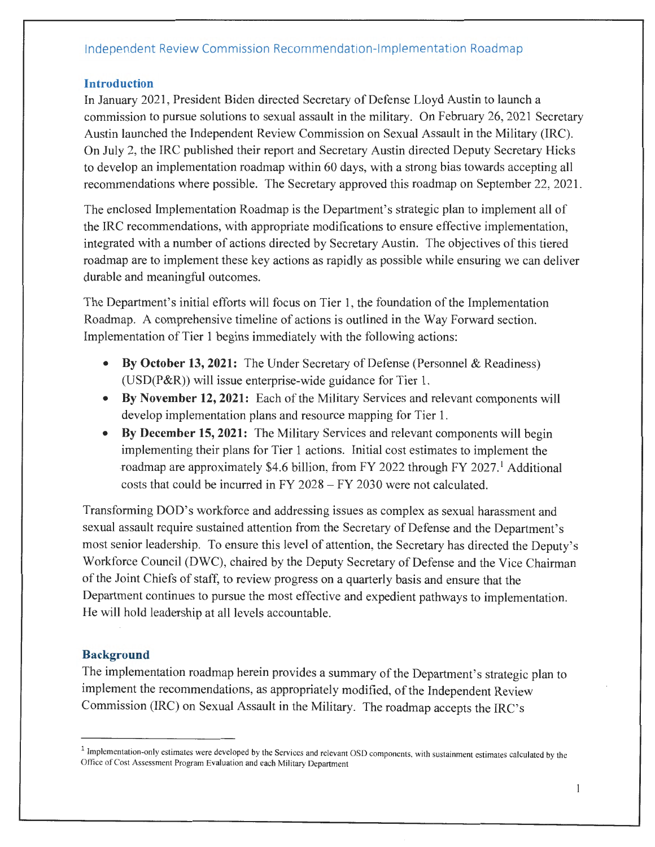#### **Introduction**

In January 2021 , President Biden directed Secretary of Defense Lloyd Austin to launch a commission to pursue solutions to sexual assault in the military. On February 26, 2021 Secretary Austin launched the Independent Review Commission on Sexual Assault in the Military (IRC). On July 2, the IRC published their report and Secretary Austin directed Deputy Secretary Hicks to develop an implementation roadmap within 60 days, with a strong bias towards accepting all recommendations where possible. The Secretary approved this roadmap on September 22, 2021 .

The enclosed Implementation Roadmap is the Department's strategic plan to implement all of the IRC recommendations, with appropriate modifications to ensure effective implementation, integrated with a number of actions directed by Secretary Austin. The objectives of this tiered roadmap are to implement these key actions as rapidly as possible while ensuring we can deliver durable and meaningful outcomes.

The Department's initial efforts will focus on Tier 1, the foundation of the Implementation Roadmap. A comprehensive timeline of actions is outlined in the Way Forward section. Implementation of Tier 1 begins immediately with the following actions:

- **By October 13, 2021:** The Under Secretary of Defense (Personnel & Readiness) (USD(P&R)) will issue enterprise-wide guidance for Tier 1.
- **By November 12, 2021:** Each of the Military Services and relevant components will develop implementation plans and resource mapping for Tier 1.
- **By December 15, 2021:** The Military Services and relevant components will begin implementing their plans for Tier 1 actions. Initial cost estimates to implement the roadmap are approximately \$4.6 billion, from FY 2022 through FY 2027.<sup>1</sup> Additional costs that could be incurred in FY 2028 - FY 2030 were not calculated.

Transforming DOD's workforce and addressing issues as complex as sexual harassment and sexual assault require sustained attention from the Secretary of Defense and the Department's most senior leadership. To ensure this level of attention, the Secretary has directed the Deputy's Workforce Council (DWC), chaired by the Deputy Secretary of Defense and the Vice Chairman of the Joint Chiefs of staff, to review progress on a quarterly basis and ensure that the Department continues to pursue the most effective and expedient pathways to implementation. He will hold leadership at all levels accountable.

### **Background**

The implementation roadmap herein provides a summary of the Department's strategic plan to implement the recommendations, as appropriately modified, of the Independent Review Commission (IRC) on Sexual Assault in the Military. The roadmap accepts the IRC's

<sup>&</sup>lt;sup>1</sup> Implementation-only estimates were developed by the Services and relevant OSD components, with sustainment estimates calculated by the Office of Cost Assessment Program Evaluation and each Military Department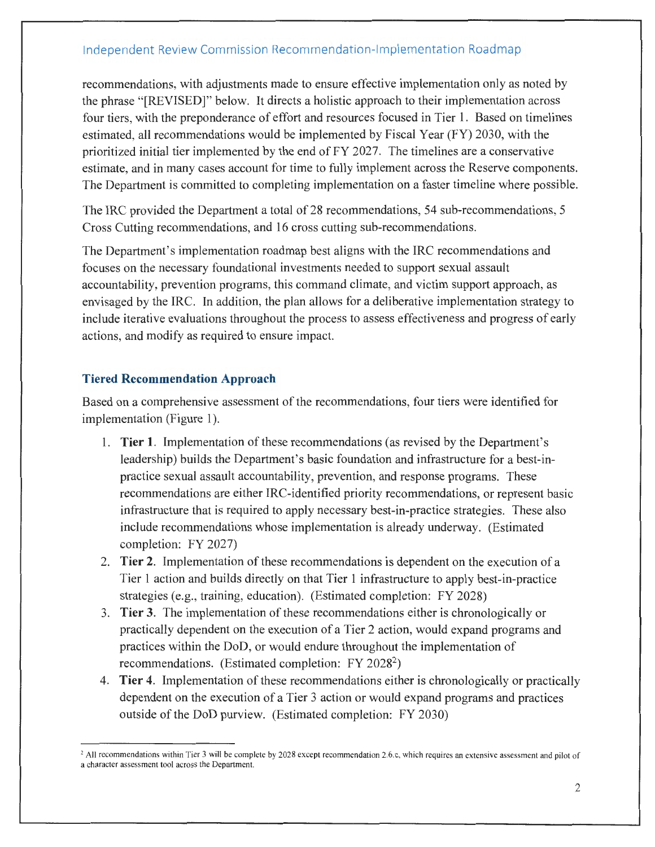recommendations, with adjustments made to ensure effective implementation only as noted by the phrase "[REVISED]" below. It directs a holistic approach to their implementation across four tiers, with the preponderance of effort and resources focused in Tier 1. Based on timelines estimated, all recommendations would be implemented by Fiscal Year (FY) 2030, with the prioritized initial tier implemented by the end of FY 2027. The timelines are a conservative estimate, and in many cases account for time to fully implement across the Reserve components. The Department is committed to completing implementation on a faster timeline where possible.

The IRC provided the Department a total of 28 recommendations, 54 sub-recommendations, 5 Cross Cutting recommendations, and 16 cross cutting sub-recommendations.

The Department's implementation roadmap best aligns with the IRC recommendations and focuses on the necessary foundational investments needed to support sexual assault accountability, prevention programs, this command climate, and victim support approach, as envisaged by the IRC. In addition, the plan allows for a deliberative implementation strategy to include iterative evaluations throughout the process to assess effectiveness and progress of early actions, and modify as required to ensure impact.

#### **Tiered Recommendation Approach**

Based on a comprehensive assessment of the recommendations, four tiers were identified for implementation (Figure 1).

- 1. **Tier 1.** Implementation of these recommendations ( as revised by the Department's leadership) builds the Department's basic foundation and infrastructure for a best-in practice sexual assault accountability, prevention, and response programs. These recommendations are either !RC-identified priority recommendations, or represent basic infrastructure that is required to apply necessary best-in-practice strategies. These also include recommendations whose implementation is already underway. (Estimated completion: FY 2027)
- 2. **Tier 2.** Implementation of these recommendations is dependent on the execution of a Tier 1 action and builds directly on that Tier 1 infrastructure to apply best-in-practice strategies (e.g., training, education). (Estimated completion: FY 2028)
- 3. **Tier 3.** The implementation of these recommendations either is chronologically or practically dependent on the execution of a Tier 2 action, would expand programs and practices within the DoD, or would endure throughout the implementation of recommendations. (Estimated completion: FY 2028<sup>2</sup>)
- 4. **Tier 4.** Implementation of these recommendations either is chronologically or practically dependent on the execution of a Tier 3 action or would expand programs and practices outside of the DoD purview. (Estimated completion: FY 2030)

<sup>&</sup>lt;sup>2</sup> All recommendations within Tier 3 will be complete by 2028 except recommendation 2.6.c, which requires an extensive assessment and pilot of a character assessment tool across the Department.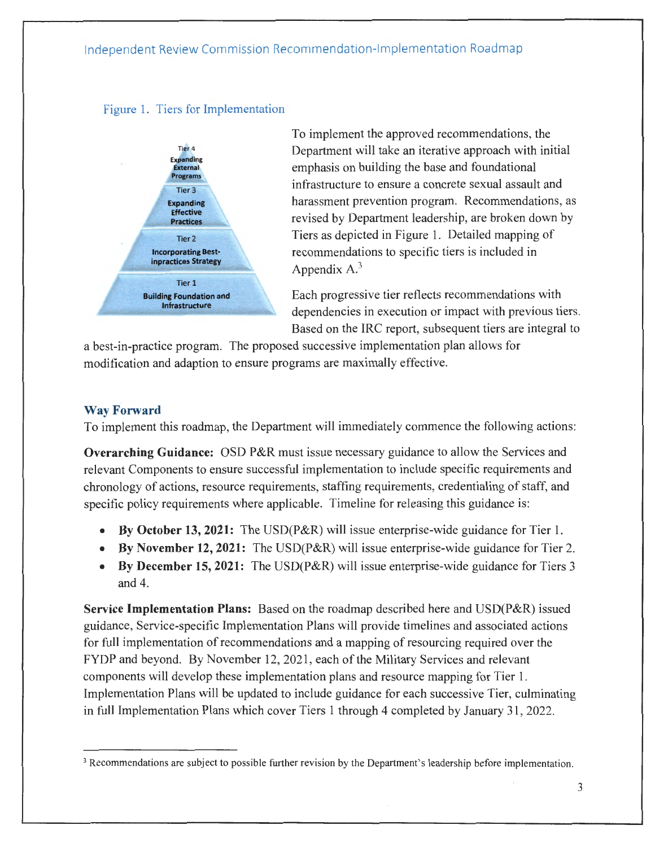#### Figure 1. Tiers for Implementation



To implement the approved recommendations, the Department will take an iterative approach with initial emphasis on building the base and foundational infrastructure to ensure a concrete sexual assault and harassment prevention program. Recommendations, as revised by Department leadership, are broken down by Tiers as depicted in Figure **1.** Detailed mapping of recommendations to specific tiers is included in Appendix  $A^3$ 

Each progressive tier reflects recommendations with dependencies in execution or impact with previous tiers. Based on the IRC report, subsequent tiers are integral to

a best-in-practice program. The proposed successive implementation plan allows for modification and adaption to ensure programs are maximally effective.

#### **Way Forward**

To implement this roadmap, the Department will immediately commence the following actions:

**Overarching Guidance:** OSD P&R must issue necessary guidance to allow the Services and relevant Components to ensure successful implementation to include specific requirements and chronology of actions, resource requirements, staffing requirements, credentialing of staff, and specific policy requirements where applicable. Timeline for releasing this guidance is:

- **By October 13, 2021:** The USD(P&R) will issue enterprise-wide guidance for Tier 1.
- **By November 12, 2021:** The USD(P&R) will issue enterprise-wide guidance for Tier 2.
- **By December 15, 2021:** The USD(P&R) will issue enterprise-wide guidance for Tiers 3 and 4.

**Service Implementation Plans:** Based on the roadmap described here and USD(P&R) issued guidance, Service-specific Implementation Plans will provide timelines and associated actions for full implementation of recommendations and a mapping of resourcing required over the FYDP and beyond. By November 12, 2021, each of the Military Services and relevant components will develop these implementation plans and resource mapping for Tier 1. Implementation Plans will be updated to include guidance for each successive Tier, culminating in full Implementation Plans which cover Tiers 1 through 4 completed by January 31, 2022.

<sup>&</sup>lt;sup>3</sup> Recommendations are subject to possible further revision by the Department's leadership before implementation.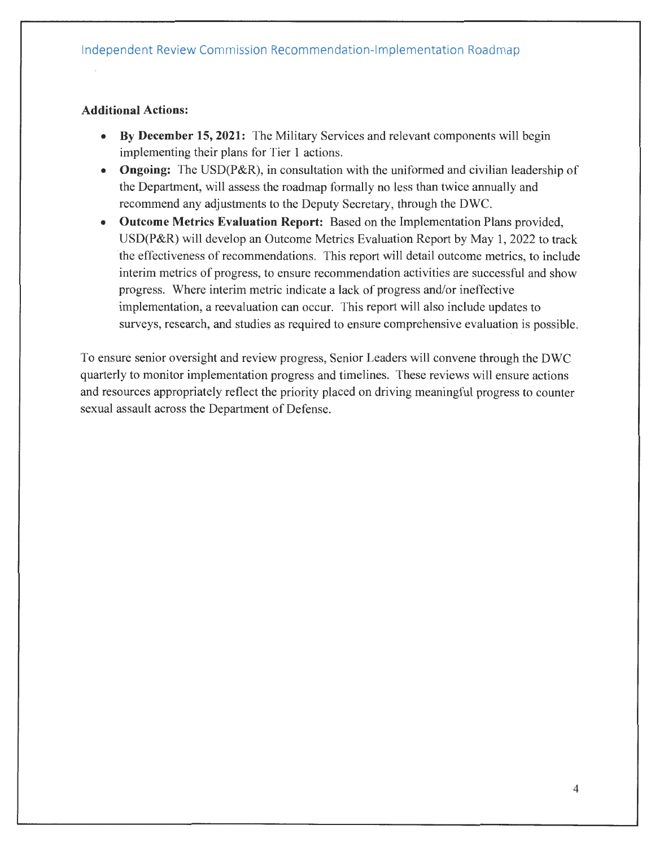#### **Additional Actions:**

- **By December 15, 2021:** The Military Services and relevant components will begin implementing their plans for Tier 1 actions.
- **Ongoing:** The USD(P&R), in consultation with the uniformed and civilian leadership of the Department, will assess the roadmap formally no less than twice annually and recommend any adjustments to the Deputy Secretary, through the DWC.
- **Outcome Metrics Evaluation Report:** Based on the Implementation Plans provided, USD(P&R) will develop an Outcome Metrics Evaluation Report by May 1, 2022 to track the effectiveness of recommendations. This report will detail outcome metrics, to include interim metrics of progress, to ensure recommendation activities are successful and show progress. Where interim metric indicate a lack of progress and/or ineffective implementation, a reevaluation can occur. This report will also include updates to surveys, research, and studies as required to ensure comprehensive evaluation is possible.

To ensure senior oversight and review progress, Senior Leaders will convene through the DWC quarterly to monitor implementation progress and timelines. These reviews will ensure actions and resources appropriately reflect the priority placed on driving meaningful progress to counter sexual assault across the Department of Defense.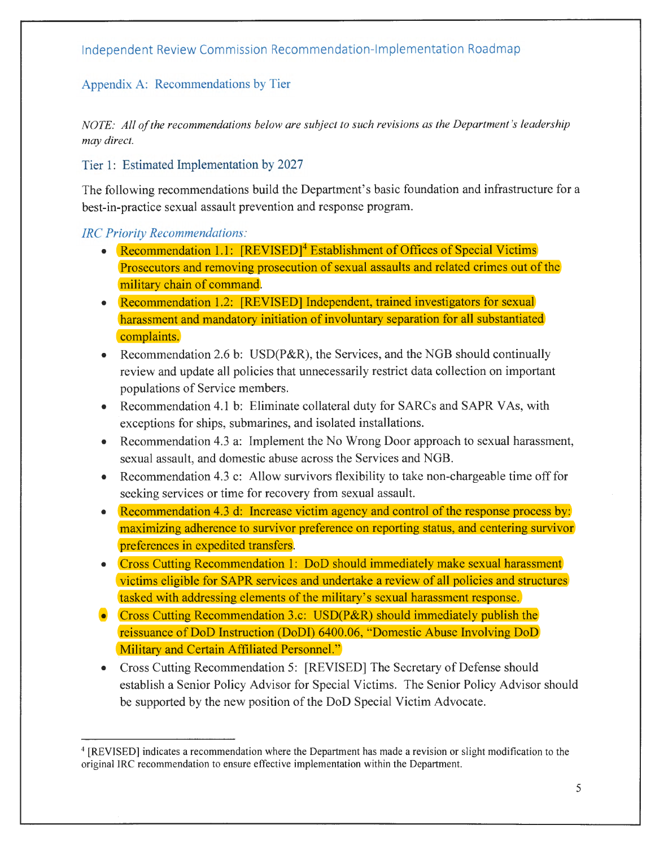## Appendix A: Recommendations by Tier

*NOTE: All of the recommendations below are subject to such revisions as the Department 's leadership may direct.* 

Tier 1: Estimated Implementation by 2027

The following recommendations build the Department's basic foundation and infrastructure for a best-in-practice sexual assault prevention and response program.

#### *!RC Priority Recommendations:*

- Recommendation 1.1:  $[REVISED]<sup>4</sup>$  Establishment of Offices of Special Victims Prosecutors and removing prosecution of sexual assaults and related crimes out of the military chain of command.
- Recommendation 1.2: [REVISED] Independent, trained investigators for sexual harassment and mandatory initiation of involuntary separation for all substantiated complaints.
- Recommendation 2.6 b: USD(P&R), the Services, and the NGB should continually review and update all policies that unnecessarily restrict data collection on important populations of Service members.
- Recommendation 4.1 b: Eliminate collateral duty for SARCs and SAPR VAs, with exceptions for ships, submarines, and isolated installations.
- Recommendation 4.3 a: Implement the No Wrong Door approach to sexual harassment, sexual assault, and domestic abuse across the Services and NGB.
- Recommendation 4.3 c: Allow survivors flexibility to take non-chargeable time off for seeking services or time for recovery from sexual assault.
- Recommendation 4.3 d: Increase victim agency and control of the response process by: maximizing adherence to survivor preference on reporting status, and centering survivor preferences in expedited transfers.
- Cross Cutting Recommendation 1: DoD should immediately make sexual harassment victims eligible for SAPR services and undertake a review of all policies and structures tasked with addressing elements of the military's sexual harassment response.
- Cross Cutting Recommendation 3.c: USD(P&R) should immediately publish the reissuance of DoD Instruction (DoDI) 6400.06, "Domestic Abuse Involving DoD Military and Certain Affiliated Personnel."
- Cross Cutting Recommendation 5: [REVISED] The Secretary of Defense should establish a Senior Policy Advisor for Special Victims. The Senior Policy Advisor should be supported by the new position of the DoD Special Victim Advocate.

<sup>&</sup>lt;sup>4</sup> [REVISED] indicates a recommendation where the Department has made a revision or slight modification to the original IRC recommendation to ensure effective implementation within the Department.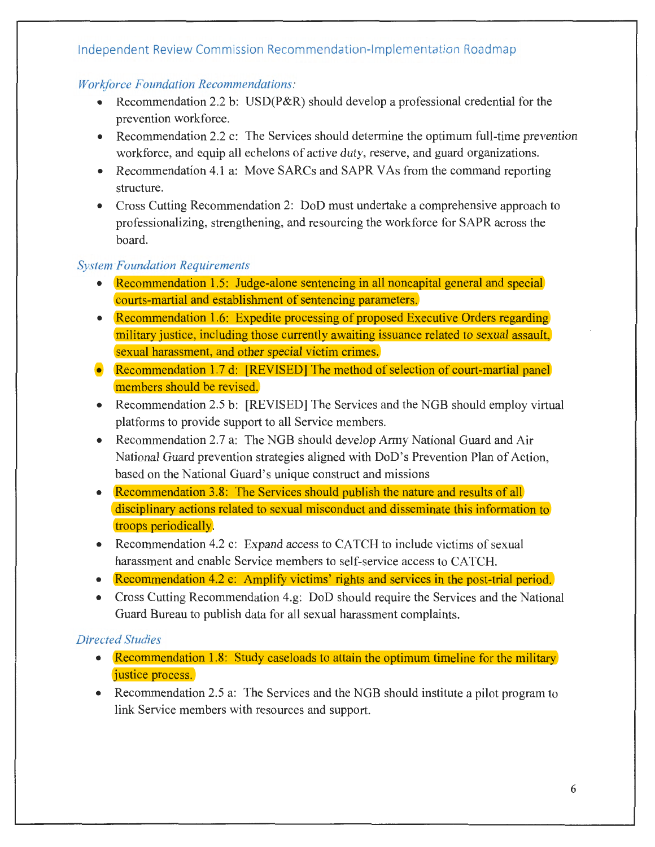#### *Workforce Foundation Recommendations:*

- Recommendation 2.2 b: USD( $P\&R$ ) should develop a professional credential for the prevention workforce.
- Recommendation 2.2 c: The Services should determine the optimum full-time prevention workforce, and equip all echelons of active duty, reserve, and guard organizations.
- Recommendation 4.1 a: Move SARCs and SAPR VAs from the command reporting structure.
- Cross Cutting Recommendation 2: DoD must undertake a comprehensive approach to professionalizing, strengthening, and resourcing the workforce for SAPR across the board.

### *System-Foundation Requirements*

- Recommendation 1.5: Judge-alone sentencing in all noncapital general and special courts-martial and establishment of sentencing parameters.
- Recommendation 1.6: Expedite processing of proposed Executive Orders regarding military justice, including those currently awaiting issuance related to sexual assault, sexual harassment, and other special victim crimes.
- Recommendation 1.7 d: [REVISED] The method of selection of court-martial panel members should be revised.
- Recommendation 2.5 b: [REVISED] The Services and the NGB should employ virtual platforms to provide support to all Service members.
- Recommendation 2.7 a: The NGB should develop Army National Guard and Air National Guard prevention strategies aligned with DoD's Prevention Plan of Action, based on the National Guard's unique construct and missions
- Recommendation 3.8: The Services should publish the nature and results of all disciplinary actions related to sexual misconduct and disseminate this information to troops periodically.
- Recommendation 4.2 c: Expand access to CATCH to include victims of sexual harassment and enable Service members to self-service access to CATCH.
- Recommendation 4.2 e: Amplify victims' rights and services in the post-trial period.
- Cross Cutting Recommendation 4.g: DoD should require the Services and the National Guard Bureau to publish data for all sexual harassment complaints.

### *Directed Studies*

- Recommendation 1.8: Study caseloads to attain the optimum timeline for the military justice process.
- Recommendation 2.5 a: The Services and the NGB should institute a pilot program to link Service members with resources and support.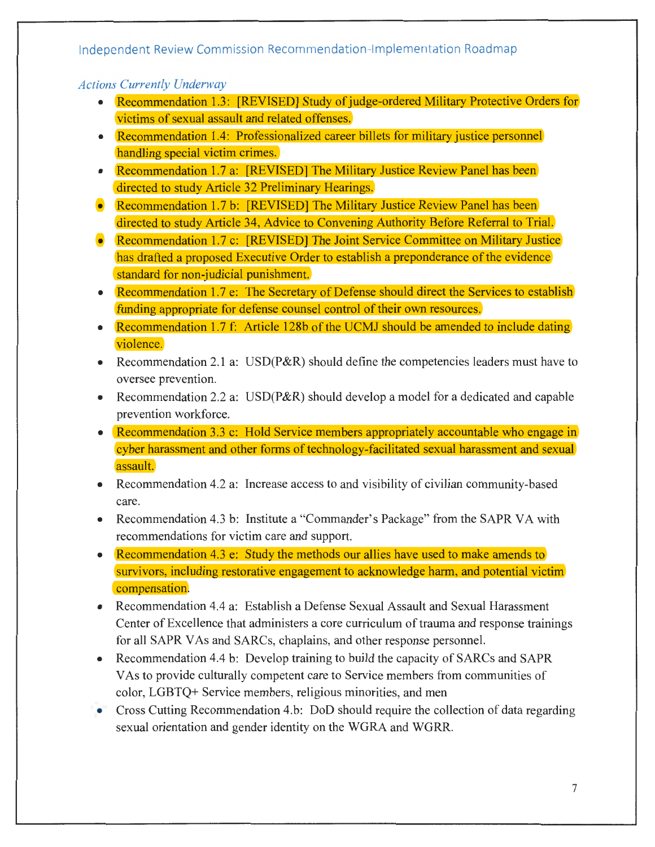#### *Actions Currently Underway*

- Recommendation 1.3: [REVISED] Study of judge-ordered Military Protective Orders for victims of sexual assault and related offenses.
- Recommendation 1.4: Professionalized career billets for military justice personnel handling special victim crimes.
- Recommendation 1.7 a: [REVISED] The Military Justice Review Panel has been directed to study Article 32 Preliminary Hearings.
- Recommendation 1.7 b: [REVISED] The Military Justice Review Panel has been directed to study Article 34, Advice to Convening Authority Before Referral to Trial.
- Recommendation 1.7 c: [REVISED] The Joint Service Committee on Military Justice has drafted a proposed Executive Order to establish a preponderance of the evidence standard for non-judicial punishment.
- Recommendation 1.7 e: The Secretary of Defense should direct the Services to establish funding appropriate for defense counsel control of their own resources.
- Recommendation 1.7 f: Article 128b of the UCMJ should be amended to include dating violence.
- Recommendation 2.1 a: USD(P&R) should define the competencies leaders must have to oversee prevention.
- Recommendation 2.2 a: USD(P&R) should develop a model for a dedicated and capable prevention workforce.
- Recommendation 3.3 c: Hold Service members appropriately accountable who engage in cyber harassment and other forms of technology-facilitated sexual harassment and sexual assault.
- Recommendation 4.2 a: Increase access to and visibility of civilian community-based care.
- Recommendation 4.3 b: Institute a "Commander's Package" from the SAPR VA with recommendations for victim care and support.
- Recommendation 4.3 e: Study the methods our allies have used to make amends to survivors, including restorative engagement to acknowledge harm, and potential victim compensation.
- Recommendation 4.4 a: Establish a Defense Sexual Assault and Sexual Harassment Center of Excellence that administers a core curriculum of trauma and response trainings for all SAPR VAs and SARCs, chaplains, and other response personnel.
- Recommendation 4.4 b: Develop training to build the capacity of SARCs and SAPR VAs to provide culturally competent care to Service members from communities of color, LGBTQ+ Service members, religious minorities, and men
- Cross Cutting Recommendation 4.b: DoD should require the collection of data regarding sexual orientation and gender identity on the WGRA and WGRR.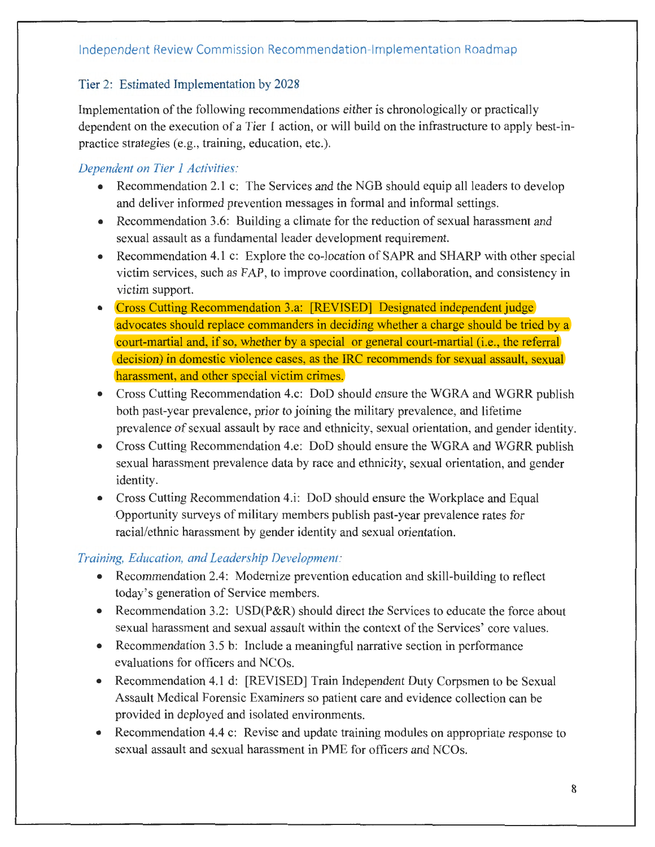## Tier 2: Estimated Implementation by 2028

Implementation of the following recommendations either is chronologically or practically dependent on the execution of a Tier 1 action, or will build on the infrastructure to apply best-inpractice strategies (e.g., training, education, etc.).

## *Dependent on Tier 1 Activities:*

- Recommendation 2.1 c: The Services and the NGB should equip all leaders to develop and deliver informed prevention messages in formal and informal settings.
- Recommendation 3.6: Building a climate for the reduction of sexual harassment and sexual assault as a fundamental leader development requirement.
- Recommendation 4.1 c: Explore the co-location of SAPR and SHARP with other special victim services, such as FAP, to improve coordination, collaboration, and consistency in victim support.
- Cross Cutting Recommendation 3.a: [REVISED] Designated independent judge] advocates should replace commanders in deciding whether a charge should be tried by a court-martial and, if so, whether by a special or general court-martial (i.e., the referral decision) in domestic violence cases, as the IRC recommends for sexual assault, sexual harassment, and other special victim crimes.
- Cross Cutting Recommendation 4.c: DoD should ensure the WGRA and WGRR publish both past-year prevalence, prior to joining the military prevalence, and lifetime prevalence of sexual assault by race and ethnicity, sexual orientation, and gender identity.
- Cross Cutting Recommendation 4.e: DoD should ensure the WGRA and WGRR publish sexual harassment prevalence data by race and ethnicity, sexual orientation, and gender identity.
- Cross Cutting Recommendation 4.i: DoD should ensure the Workplace and Equal -Opportunity surveys of military members publish past-year prevalence rates for racial/ethnic harassment by gender identity and sexual orientation.

## *Training, Education, and Leadership Development:*

- Recommendation 2.4: Modernize prevention education and skill-building to reflect .today's generation of Service members.
- Recommendation 3.2: USD(P&R) should direct the Services to educate the force about sexual harassment and sexual assault within the context of the Services' core values.
- Recommendation 3.5 b: Include a meaningful narrative section in performance evaluations for officers and NCOs.
- Recommendation 4.1 d: [REVISED] Train Independent Duty Corpsmen to be Sexual Assault Medical Forensic Examiners so patient care and evidence collection can be provided in deployed and isolated environments.
- Recommendation 4.4 c: Revise and update training modules on appropriate response to sexual assault and sexual harassment in PME for officers and NCOs.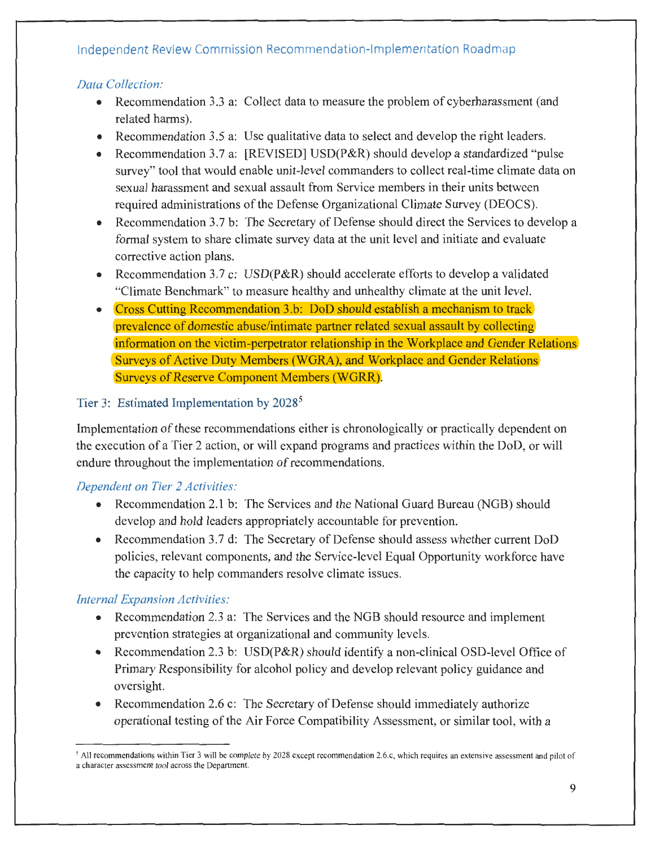## *Data Collection:*

- Recommendation 3.3 a: Collect data to measure the problem of cyberharassment (and \_related harms).
- Recommendation 3.5 a: Use qualitative data to select and develop the right leaders.
- Recommendation 3.7 a: [REVISED] USD(P&R) should develop a standardized "pulse survey" tool that would enable unit-level commanders to collect real-time climate data on sexual harassment and sexual assault from Service members in their units between required administrations of the Defense Organizational Climate Survey (DEOCS).
- Recommendation 3.7 b: The Secretary of Defense should direct the Services to develop a formal system to share climate survey data at the unit level and initiate and evaluate corrective action plans.
- Recommendation 3.7 c: USD(P&R) should accelerate efforts to develop a validated "Climate Benchmark" to measure healthy and unhealthy climate at the unit level.
- Cross Cutting Recommendation 3.b: DoD should establish a mechanism to track prevalence of domestic abuse/intimate partner related sexual assault by collecting information on the victim-perpetrator relationship in the Workplace and Gender Relations .Surveys of Active Duty Members (WGRA), and Workplace and Gender Relations Surveys of Reserve Component Members (WGRR).

## Tier 3: Estimated Implementation by 2028<sup>5</sup>

Implementation of these recommendations either is chronologically or practically dependent on the execution of a Tier 2 action, or will expand programs and practices within the DoD, or will endure throughout the implementation of recommendations.

## *Dependent on Tier 2 Activities:*

- Recommendation 2.1 b: The Services and the National Guard Bureau (NGB) should .develop and hold leaders appropriately accountable for prevention.
- Recommendation 3.7 d: The Secretary of Defense should assess whether current DoD policies, relevant components, and the Service-level Equal Opportunity workforce have the capacity to help commanders resolve climate issues.

## *Internal Expansion Activities:*

- Recommendation 2.3 a: The Services and the NGB should resource and implement prevention strategies at organizational and community levels.
- Recommendation 2.3 b: USD(P&R) should identify a non-clinical OSD-level Office of Primary Responsibility for alcohol policy and develop relevant policy guidance and oversight.
- Recommendation 2.6 c: The Secretary of Defense should immediately authorize operational testing of the Air Force Compatibility Assessment, or similar tool, with a

<sup>&</sup>lt;sup>5</sup> All recommendations within Tier 3 will be complete by 2028 except recommendation 2.6.c, which requires an extensive assessment and pilot of a character assessment tool across the Department.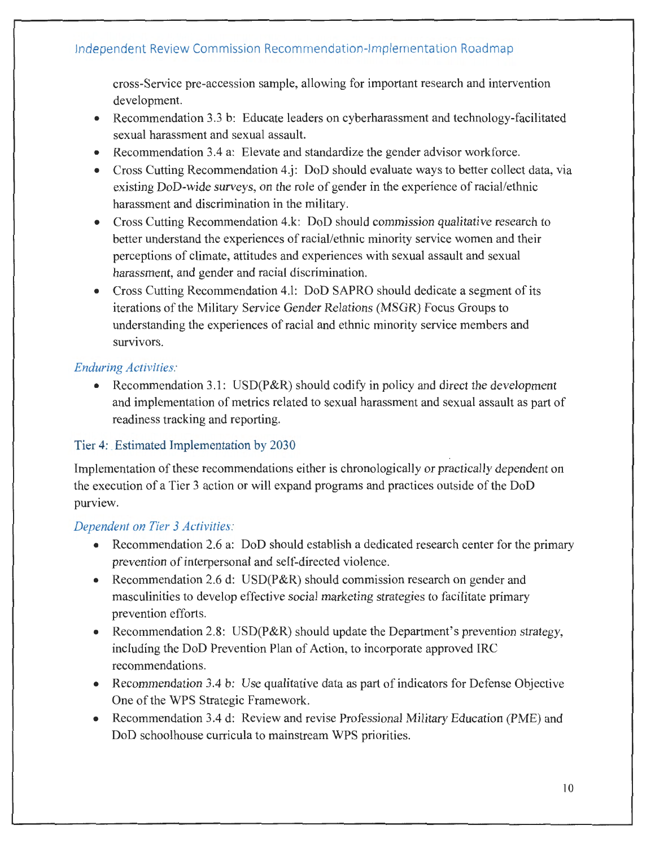cross-Service pre-accession sample, allowing for important research and intervention development.

- Recommendation 3.3 b: Educate leaders on cyberharassment and technology-facilitated sexual harassment and sexual assault.
- Recommendation 3.4 a: Elevate and standardize the gender advisor workforce.
- Cross Cutting Recommendation 4.j: DoD should evaluate ways to better collect data, via existing DoD-wide surveys, on the role of gender in the experience of racial/ethnic harassment and discrimination in the military.
- Cross Cutting Recommendation 4.k: DoD should commission qualitative research to better understand the experiences of racial/ethnic minority service women and their perceptions of climate, attitudes and experiences with sexual assault and sexual harassment, and gender and racial discrimination.
- Cross Cutting Recommendation 4.l: DoD SAPRO should dedicate a segment of its iterations of the Military Service Gender Relations (MSGR) Focus Groups to understanding the experiences of racial and ethnic minority service members and survivors.

### *Enduring Activities:*

• Recommendation 3.1: USD(P&R) should codify in policy and direct the development and implementation of metrics related to sexual harassment and sexual assault as part of readiness tracking and reporting.

### Tier 4: Estimated Implementation by 2030

Implementation of these recommendations either is chronologically or practically dependent on the execution of a Tier 3 action or will expand programs and practices outside of the DoD purview.

### *Dependent on Tier 3 Activities:*

- Recommendation 2.6 a: DoD should establish a dedicated research center for the primary prevention of interpersonal and self-directed violence.
- Recommendation 2.6 d: USD(P&R) should commission research on gender and masculinities to develop effective social marketing strategies to facilitate primary prevention efforts.
- Recommendation 2.8: USD(P&R) should update the Department's prevention strategy, including the DoD Prevention Plan of Action, to incorporate approved IRC recommendations.
- Recommendation 3.4 b: Use qualitative data as part of indicators for Defense Objective One of the WPS Strategic Framework.
- Recommendation 3.4 d: Review and revise Professional Military Education (PME) and DoD schoolhouse curricula to mainstream WPS priorities.